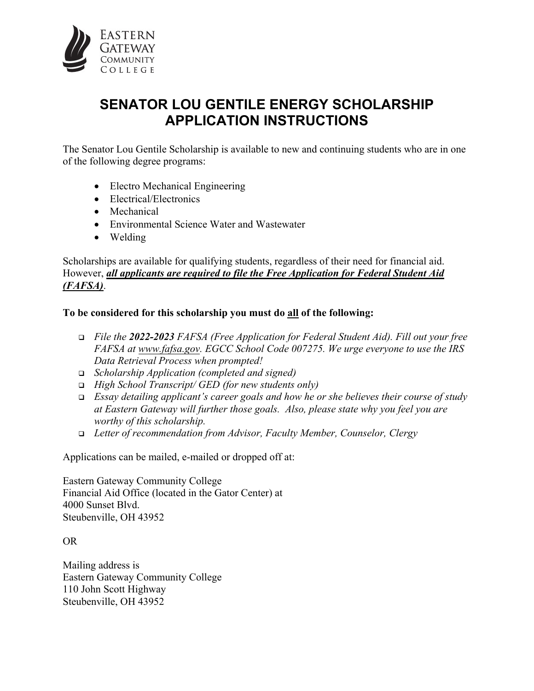

## **SENATOR LOU GENTILE ENERGY SCHOLARSHIP APPLICATION INSTRUCTIONS**

The Senator Lou Gentile Scholarship is available to new and continuing students who are in one of the following degree programs:

- Electro Mechanical Engineering
- Electrical/Electronics
- Mechanical
- Environmental Science Water and Wastewater
- Welding

Scholarships are available for qualifying students, regardless of their need for financial aid. However, *all applicants are required to file the Free Application for Federal Student Aid (FAFSA)*.

## **To be considered for this scholarship you must do all of the following:**

- *File the 2022-2023 FAFSA (Free Application for Federal Student Aid). Fill out your free FAFSA at www.fafsa.gov. EGCC School Code 007275. We urge everyone to use the IRS Data Retrieval Process when prompted!*
- *Scholarship Application (completed and signed)*
- *High School Transcript/ GED (for new students only)*
- *Essay detailing applicant's career goals and how he or she believes their course of study at Eastern Gateway will further those goals. Also, please state why you feel you are worthy of this scholarship.*
- *Letter of recommendation from Advisor, Faculty Member, Counselor, Clergy*

Applications can be mailed, e-mailed or dropped off at:

Eastern Gateway Community College Financial Aid Office (located in the Gator Center) at 4000 Sunset Blvd. Steubenville, OH 43952

OR

Mailing address is Eastern Gateway Community College 110 John Scott Highway Steubenville, OH 43952